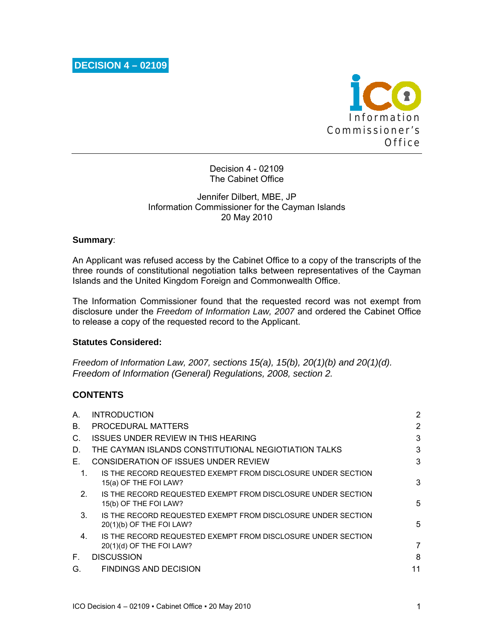

Decision 4 - 02109 The Cabinet Office

## Jennifer Dilbert, MBE, JP Information Commissioner for the Cayman Islands 20 May 2010

### **Summary**:

An Applicant was refused access by the Cabinet Office to a copy of the transcripts of the three rounds of constitutional negotiation talks between representatives of the Cayman Islands and the United Kingdom Foreign and Commonwealth Office.

The Information Commissioner found that the requested record was not exempt from disclosure under the *Freedom of Information Law, 2007* and ordered the Cabinet Office to release a copy of the requested record to the Applicant.

### **Statutes Considered:**

*Freedom of Information Law, 2007, sections 15(a), 15(b), 20(1)(b) and 20(1)(d). Freedom of Information (General) Regulations, 2008, section 2.* 

# **CONTENTS**

| А.             | <b>INTRODUCTION</b>                                                                      | 2  |
|----------------|------------------------------------------------------------------------------------------|----|
| B.             | PROCEDURAL MATTERS                                                                       | 2  |
| C.             | ISSUES UNDER REVIEW IN THIS HEARING                                                      | 3  |
| D.             | THE CAYMAN ISLANDS CONSTITUTIONAL NEGIOTIATION TALKS                                     | 3  |
| Е.             | CONSIDERATION OF ISSUES UNDER REVIEW                                                     | 3  |
| 1.             | IS THE RECORD REQUESTED EXEMPT FROM DISCLOSURE UNDER SECTION<br>15(a) OF THE FOI LAW?    | 3  |
| 2 <sub>1</sub> | IS THE RECORD REQUESTED EXEMPT FROM DISCLOSURE UNDER SECTION<br>15(b) OF THE FOI LAW?    | 5  |
| $3_{-}$        | IS THE RECORD REQUESTED EXEMPT FROM DISCLOSURE UNDER SECTION<br>20(1)(b) OF THE FOI LAW? | 5  |
| 4.             | IS THE RECORD REQUESTED EXEMPT FROM DISCLOSURE UNDER SECTION<br>20(1)(d) OF THE FOI LAW? | 7  |
| Е.             | <b>DISCUSSION</b>                                                                        | 8  |
| G.             | <b>FINDINGS AND DECISION</b>                                                             | 11 |
|                |                                                                                          |    |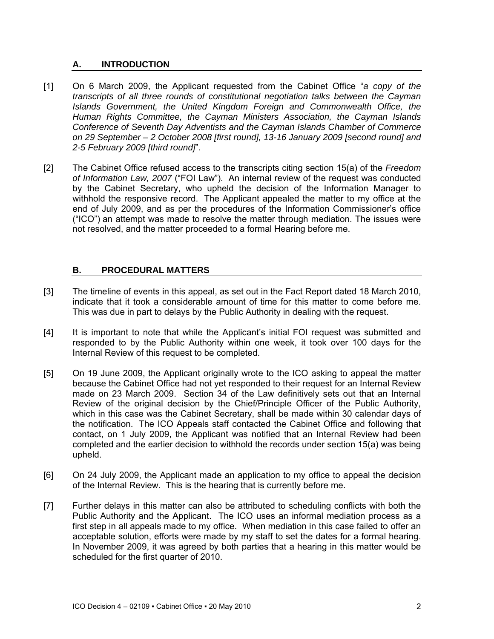## **A. INTRODUCTION**

- [1] On 6 March 2009, the Applicant requested from the Cabinet Office "*a copy of the transcripts of all three rounds of constitutional negotiation talks between the Cayman Islands Government, the United Kingdom Foreign and Commonwealth Office, the Human Rights Committee, the Cayman Ministers Association, the Cayman Islands Conference of Seventh Day Adventists and the Cayman Islands Chamber of Commerce on 29 September – 2 October 2008 [first round], 13-16 January 2009 [second round] and 2-5 February 2009 [third round]*".
- [2] The Cabinet Office refused access to the transcripts citing section 15(a) of the *Freedom of Information Law, 2007* ("FOI Law"). An internal review of the request was conducted by the Cabinet Secretary, who upheld the decision of the Information Manager to withhold the responsive record. The Applicant appealed the matter to my office at the end of July 2009, and as per the procedures of the Information Commissioner's office ("ICO") an attempt was made to resolve the matter through mediation. The issues were not resolved, and the matter proceeded to a formal Hearing before me.

## **B. PROCEDURAL MATTERS**

- [3] The timeline of events in this appeal, as set out in the Fact Report dated 18 March 2010, indicate that it took a considerable amount of time for this matter to come before me. This was due in part to delays by the Public Authority in dealing with the request.
- [4] It is important to note that while the Applicant's initial FOI request was submitted and responded to by the Public Authority within one week, it took over 100 days for the Internal Review of this request to be completed.
- [5] On 19 June 2009, the Applicant originally wrote to the ICO asking to appeal the matter because the Cabinet Office had not yet responded to their request for an Internal Review made on 23 March 2009. Section 34 of the Law definitively sets out that an Internal Review of the original decision by the Chief/Principle Officer of the Public Authority, which in this case was the Cabinet Secretary, shall be made within 30 calendar days of the notification. The ICO Appeals staff contacted the Cabinet Office and following that contact, on 1 July 2009, the Applicant was notified that an Internal Review had been completed and the earlier decision to withhold the records under section 15(a) was being upheld.
- [6] On 24 July 2009, the Applicant made an application to my office to appeal the decision of the Internal Review. This is the hearing that is currently before me.
- [7] Further delays in this matter can also be attributed to scheduling conflicts with both the Public Authority and the Applicant. The ICO uses an informal mediation process as a first step in all appeals made to my office. When mediation in this case failed to offer an acceptable solution, efforts were made by my staff to set the dates for a formal hearing. In November 2009, it was agreed by both parties that a hearing in this matter would be scheduled for the first quarter of 2010.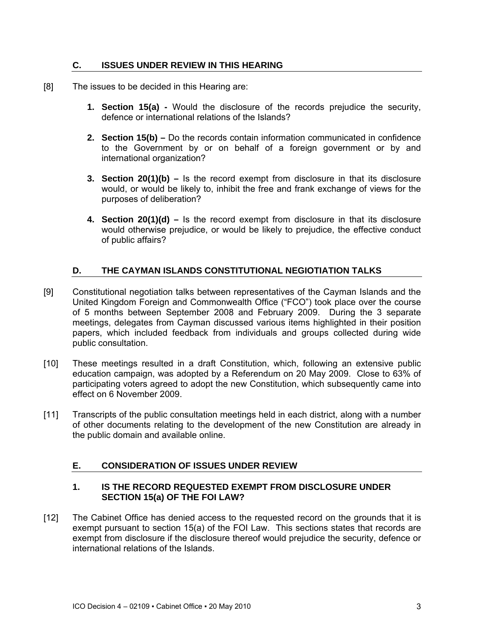### **C. ISSUES UNDER REVIEW IN THIS HEARING**

- [8] The issues to be decided in this Hearing are:
	- **1. Section 15(a)** Would the disclosure of the records prejudice the security, defence or international relations of the Islands?
	- **2. Section 15(b)** Do the records contain information communicated in confidence to the Government by or on behalf of a foreign government or by and international organization?
	- **3. Section 20(1)(b)** Is the record exempt from disclosure in that its disclosure would, or would be likely to, inhibit the free and frank exchange of views for the purposes of deliberation?
	- **4. Section 20(1)(d)** Is the record exempt from disclosure in that its disclosure would otherwise prejudice, or would be likely to prejudice, the effective conduct of public affairs?

# **D. THE CAYMAN ISLANDS CONSTITUTIONAL NEGIOTIATION TALKS**

- [9] Constitutional negotiation talks between representatives of the Cayman Islands and the United Kingdom Foreign and Commonwealth Office ("FCO") took place over the course of 5 months between September 2008 and February 2009. During the 3 separate meetings, delegates from Cayman discussed various items highlighted in their position papers, which included feedback from individuals and groups collected during wide public consultation.
- [10] These meetings resulted in a draft Constitution, which, following an extensive public education campaign, was adopted by a Referendum on 20 May 2009. Close to 63% of participating voters agreed to adopt the new Constitution, which subsequently came into effect on 6 November 2009.
- [11] Transcripts of the public consultation meetings held in each district, along with a number of other documents relating to the development of the new Constitution are already in the public domain and available online.

## **E. CONSIDERATION OF ISSUES UNDER REVIEW**

## **1. IS THE RECORD REQUESTED EXEMPT FROM DISCLOSURE UNDER SECTION 15(a) OF THE FOI LAW?**

[12] The Cabinet Office has denied access to the requested record on the grounds that it is exempt pursuant to section 15(a) of the FOI Law. This sections states that records are exempt from disclosure if the disclosure thereof would prejudice the security, defence or international relations of the Islands.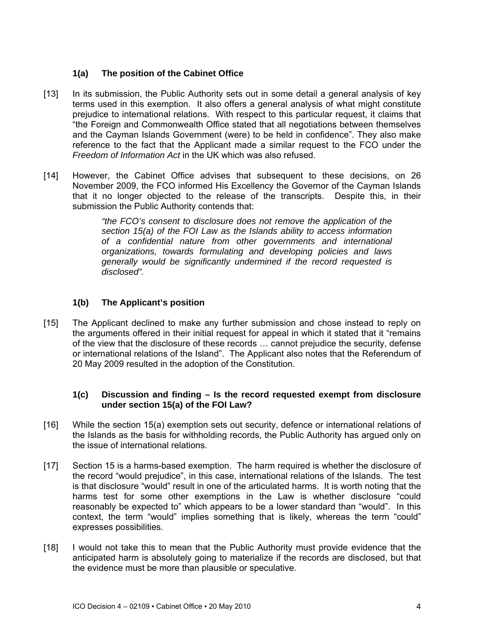# **1(a) The position of the Cabinet Office**

- [13] In its submission, the Public Authority sets out in some detail a general analysis of key terms used in this exemption. It also offers a general analysis of what might constitute prejudice to international relations. With respect to this particular request, it claims that "the Foreign and Commonwealth Office stated that all negotiations between themselves and the Cayman Islands Government (were) to be held in confidence". They also make reference to the fact that the Applicant made a similar request to the FCO under the *Freedom of Information Act* in the UK which was also refused.
- [14] However, the Cabinet Office advises that subsequent to these decisions, on 26 November 2009, the FCO informed His Excellency the Governor of the Cayman Islands that it no longer objected to the release of the transcripts. Despite this, in their submission the Public Authority contends that:

*"the FCO's consent to disclosure does not remove the application of the section 15(a) of the FOI Law as the Islands ability to access information of a confidential nature from other governments and international organizations, towards formulating and developing policies and laws generally would be significantly undermined if the record requested is disclosed".* 

# **1(b) The Applicant's position**

[15] The Applicant declined to make any further submission and chose instead to reply on the arguments offered in their initial request for appeal in which it stated that it "remains of the view that the disclosure of these records … cannot prejudice the security, defense or international relations of the Island". The Applicant also notes that the Referendum of 20 May 2009 resulted in the adoption of the Constitution.

## **1(c) Discussion and finding – Is the record requested exempt from disclosure under section 15(a) of the FOI Law?**

- [16] While the section 15(a) exemption sets out security, defence or international relations of the Islands as the basis for withholding records, the Public Authority has argued only on the issue of international relations.
- [17] Section 15 is a harms-based exemption. The harm required is whether the disclosure of the record "would prejudice", in this case, international relations of the Islands. The test is that disclosure "would" result in one of the articulated harms. It is worth noting that the harms test for some other exemptions in the Law is whether disclosure "could reasonably be expected to" which appears to be a lower standard than "would". In this context, the term "would" implies something that is likely, whereas the term "could" expresses possibilities.
- [18] I would not take this to mean that the Public Authority must provide evidence that the anticipated harm is absolutely going to materialize if the records are disclosed, but that the evidence must be more than plausible or speculative.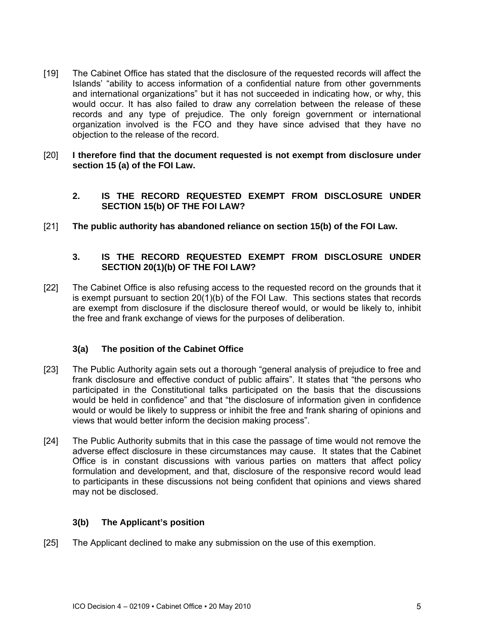- [19] The Cabinet Office has stated that the disclosure of the requested records will affect the Islands' "ability to access information of a confidential nature from other governments and international organizations" but it has not succeeded in indicating how, or why, this would occur. It has also failed to draw any correlation between the release of these records and any type of prejudice. The only foreign government or international organization involved is the FCO and they have since advised that they have no objection to the release of the record.
- [20] **I therefore find that the document requested is not exempt from disclosure under section 15 (a) of the FOI Law.** 
	- **2. IS THE RECORD REQUESTED EXEMPT FROM DISCLOSURE UNDER SECTION 15(b) OF THE FOI LAW?**
- [21] **The public authority has abandoned reliance on section 15(b) of the FOI Law.**

# **3. IS THE RECORD REQUESTED EXEMPT FROM DISCLOSURE UNDER SECTION 20(1)(b) OF THE FOI LAW?**

[22] The Cabinet Office is also refusing access to the requested record on the grounds that it is exempt pursuant to section 20(1)(b) of the FOI Law. This sections states that records are exempt from disclosure if the disclosure thereof would, or would be likely to, inhibit the free and frank exchange of views for the purposes of deliberation.

## **3(a) The position of the Cabinet Office**

- [23] The Public Authority again sets out a thorough "general analysis of prejudice to free and frank disclosure and effective conduct of public affairs". It states that "the persons who participated in the Constitutional talks participated on the basis that the discussions would be held in confidence" and that "the disclosure of information given in confidence would or would be likely to suppress or inhibit the free and frank sharing of opinions and views that would better inform the decision making process".
- [24] The Public Authority submits that in this case the passage of time would not remove the adverse effect disclosure in these circumstances may cause. It states that the Cabinet Office is in constant discussions with various parties on matters that affect policy formulation and development, and that, disclosure of the responsive record would lead to participants in these discussions not being confident that opinions and views shared may not be disclosed.

## **3(b) The Applicant's position**

[25] The Applicant declined to make any submission on the use of this exemption.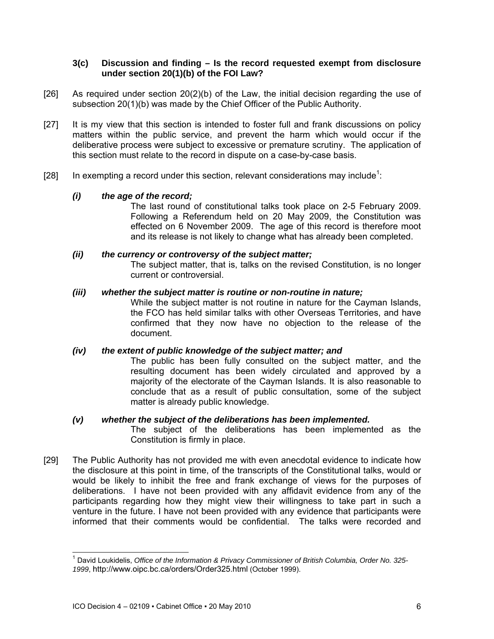### **3(c) Discussion and finding – Is the record requested exempt from disclosure under section 20(1)(b) of the FOI Law?**

- [26] As required under section 20(2)(b) of the Law, the initial decision regarding the use of subsection 20(1)(b) was made by the Chief Officer of the Public Authority.
- [27] It is my view that this section is intended to foster full and frank discussions on policy matters within the public service, and prevent the harm which would occur if the deliberative process were subject to excessive or premature scrutiny. The application of this section must relate to the record in dispute on a case-by-case basis.
- [28] In exempting a record under this section, relevant considerations may include<sup>1</sup>:

## *(i) the age of the record;*

The last round of constitutional talks took place on 2-5 February 2009. Following a Referendum held on 20 May 2009, the Constitution was effected on 6 November 2009. The age of this record is therefore moot and its release is not likely to change what has already been completed.

### *(ii) the currency or controversy of the subject matter;*

The subject matter, that is, talks on the revised Constitution, is no longer current or controversial.

### *(iii) whether the subject matter is routine or non-routine in nature;*

While the subject matter is not routine in nature for the Cayman Islands, the FCO has held similar talks with other Overseas Territories, and have confirmed that they now have no objection to the release of the document.

### *(iv) the extent of public knowledge of the subject matter; and*

The public has been fully consulted on the subject matter, and the resulting document has been widely circulated and approved by a majority of the electorate of the Cayman Islands. It is also reasonable to conclude that as a result of public consultation, some of the subject matter is already public knowledge.

### *(v) whether the subject of the deliberations has been implemented.*

The subject of the deliberations has been implemented as the Constitution is firmly in place.

[29] The Public Authority has not provided me with even anecdotal evidence to indicate how the disclosure at this point in time, of the transcripts of the Constitutional talks, would or would be likely to inhibit the free and frank exchange of views for the purposes of deliberations. I have not been provided with any affidavit evidence from any of the participants regarding how they might view their willingness to take part in such a venture in the future. I have not been provided with any evidence that participants were informed that their comments would be confidential. The talks were recorded and

l

<sup>1</sup> David Loukidelis, *Office of the Information & Privacy Commissioner of British Columbia, Order No. 325- 1999*, http://www.oipc.bc.ca/orders/Order325.html (October 1999).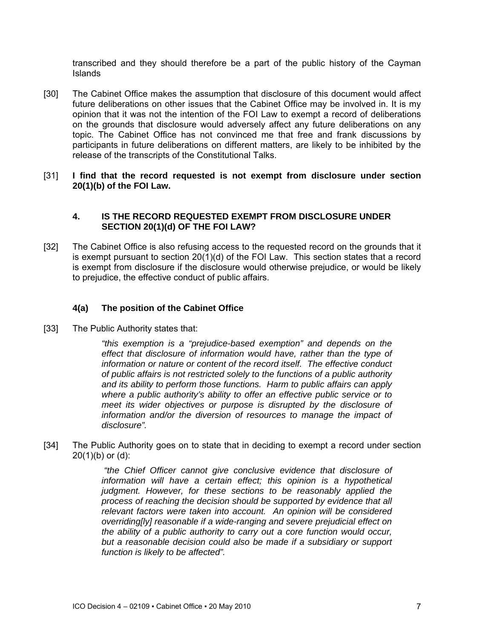transcribed and they should therefore be a part of the public history of the Cayman Islands

- [30] The Cabinet Office makes the assumption that disclosure of this document would affect future deliberations on other issues that the Cabinet Office may be involved in. It is my opinion that it was not the intention of the FOI Law to exempt a record of deliberations on the grounds that disclosure would adversely affect any future deliberations on any topic. The Cabinet Office has not convinced me that free and frank discussions by participants in future deliberations on different matters, are likely to be inhibited by the release of the transcripts of the Constitutional Talks.
- [31] **I find that the record requested is not exempt from disclosure under section 20(1)(b) of the FOI Law.**

### **4. IS THE RECORD REQUESTED EXEMPT FROM DISCLOSURE UNDER SECTION 20(1)(d) OF THE FOI LAW?**

[32] The Cabinet Office is also refusing access to the requested record on the grounds that it is exempt pursuant to section  $20(1)(d)$  of the FOI Law. This section states that a record is exempt from disclosure if the disclosure would otherwise prejudice, or would be likely to prejudice, the effective conduct of public affairs.

## **4(a) The position of the Cabinet Office**

[33] The Public Authority states that:

*"this exemption is a "prejudice-based exemption" and depends on the effect that disclosure of information would have, rather than the type of information or nature or content of the record itself. The effective conduct of public affairs is not restricted solely to the functions of a public authority and its ability to perform those functions. Harm to public affairs can apply where a public authority's ability to offer an effective public service or to meet its wider objectives or purpose is disrupted by the disclosure of information and/or the diversion of resources to manage the impact of disclosure".* 

[34] The Public Authority goes on to state that in deciding to exempt a record under section 20(1)(b) or (d):

> *"the Chief Officer cannot give conclusive evidence that disclosure of information will have a certain effect; this opinion is a hypothetical judgment. However, for these sections to be reasonably applied the process of reaching the decision should be supported by evidence that all relevant factors were taken into account. An opinion will be considered overriding[ly] reasonable if a wide-ranging and severe prejudicial effect on the ability of a public authority to carry out a core function would occur, but a reasonable decision could also be made if a subsidiary or support function is likely to be affected".*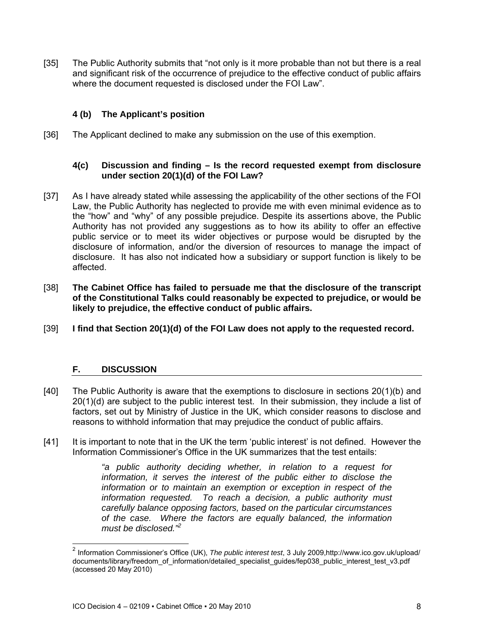[35] The Public Authority submits that "not only is it more probable than not but there is a real and significant risk of the occurrence of prejudice to the effective conduct of public affairs where the document requested is disclosed under the FOI Law".

# **4 (b) The Applicant's position**

[36] The Applicant declined to make any submission on the use of this exemption.

## **4(c) Discussion and finding – Is the record requested exempt from disclosure under section 20(1)(d) of the FOI Law?**

- [37] As I have already stated while assessing the applicability of the other sections of the FOI Law, the Public Authority has neglected to provide me with even minimal evidence as to the "how" and "why" of any possible prejudice. Despite its assertions above, the Public Authority has not provided any suggestions as to how its ability to offer an effective public service or to meet its wider objectives or purpose would be disrupted by the disclosure of information, and/or the diversion of resources to manage the impact of disclosure. It has also not indicated how a subsidiary or support function is likely to be affected.
- [38] **The Cabinet Office has failed to persuade me that the disclosure of the transcript of the Constitutional Talks could reasonably be expected to prejudice, or would be likely to prejudice, the effective conduct of public affairs.**
- [39] **I find that Section 20(1)(d) of the FOI Law does not apply to the requested record.**

## **F. DISCUSSION**

 $\overline{a}$ 

- [40] The Public Authority is aware that the exemptions to disclosure in sections 20(1)(b) and 20(1)(d) are subject to the public interest test. In their submission, they include a list of factors, set out by Ministry of Justice in the UK, which consider reasons to disclose and reasons to withhold information that may prejudice the conduct of public affairs.
- [41] It is important to note that in the UK the term 'public interest' is not defined. However the Information Commissioner's Office in the UK summarizes that the test entails:

*"a public authority deciding whether, in relation to a request for information, it serves the interest of the public either to disclose the information or to maintain an exemption or exception in respect of the information requested. To reach a decision, a public authority must carefully balance opposing factors, based on the particular circumstances of the case. Where the factors are equally balanced, the information must be disclosed."2*

<sup>2</sup> Information Commissioner's Office (UK), *The public interest test*, 3 July 2009,http://www.ico.gov.uk/upload/ documents/library/freedom\_of\_information/detailed\_specialist\_guides/fep038\_public\_interest\_test\_v3.pdf (accessed 20 May 2010)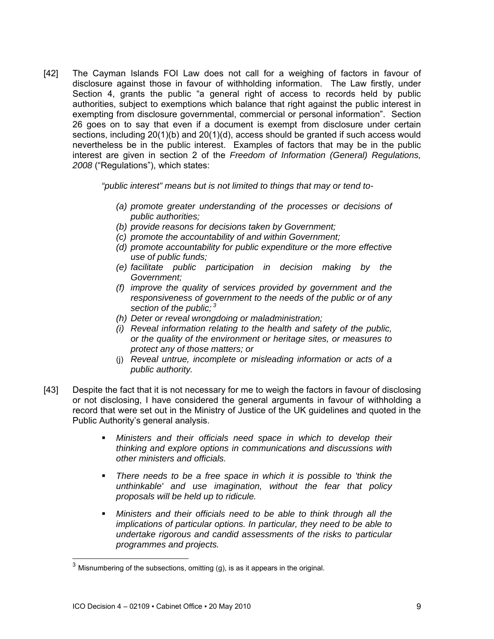[42] The Cayman Islands FOI Law does not call for a weighing of factors in favour of disclosure against those in favour of withholding information. The Law firstly, under Section 4, grants the public "a general right of access to records held by public authorities, subject to exemptions which balance that right against the public interest in exempting from disclosure governmental, commercial or personal information". Section 26 goes on to say that even if a document is exempt from disclosure under certain sections, including 20(1)(b) and 20(1)(d), access should be granted if such access would nevertheless be in the public interest. Examples of factors that may be in the public interest are given in section 2 of the *Freedom of Information (General) Regulations, 2008* ("Regulations"), which states:

*"public interest" means but is not limited to things that may or tend to-* 

- *(a) promote greater understanding of the processes or decisions of public authorities;*
- *(b) provide reasons for decisions taken by Government;*
- *(c) promote the accountability of and within Government;*
- *(d) promote accountability for public expenditure or the more effective use of public funds;*
- *(e) facilitate public participation in decision making by the Government;*
- *(f) improve the quality of services provided by government and the responsiveness of government to the needs of the public or of any section of the public; 3*
- *(h) Deter or reveal wrongdoing or maladministration;*
- *(i) Reveal information relating to the health and safety of the public, or the quality of the environment or heritage sites, or measures to protect any of those matters; or*
- (j) *Reveal untrue, incomplete or misleading information or acts of a public authority.*
- [43] Despite the fact that it is not necessary for me to weigh the factors in favour of disclosing or not disclosing, I have considered the general arguments in favour of withholding a record that were set out in the Ministry of Justice of the UK guidelines and quoted in the Public Authority's general analysis.
	- **Ministers and their officials need space in which to develop their** *thinking and explore options in communications and discussions with other ministers and officials.*
	- *There needs to be a free space in which it is possible to 'think the unthinkable' and use imagination, without the fear that policy proposals will be held up to ridicule.*
	- *Ministers and their officials need to be able to think through all the implications of particular options. In particular, they need to be able to undertake rigorous and candid assessments of the risks to particular programmes and projects.*

l

 $^3$  Misnumbering of the subsections, omitting (g), is as it appears in the original.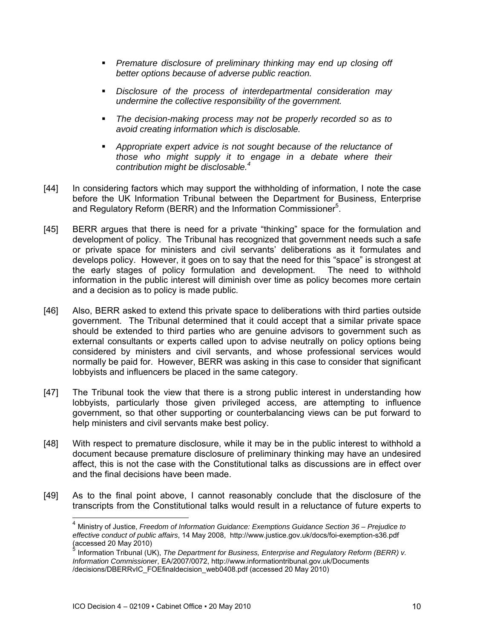- *Premature disclosure of preliminary thinking may end up closing off better options because of adverse public reaction.*
- *Disclosure of the process of interdepartmental consideration may undermine the collective responsibility of the government.*
- *The decision-making process may not be properly recorded so as to avoid creating information which is disclosable.*
- *Appropriate expert advice is not sought because of the reluctance of those who might supply it to engage in a debate where their contribution might be disclosable.4*
- [44] In considering factors which may support the withholding of information, I note the case before the UK Information Tribunal between the Department for Business, Enterprise and Regulatory Reform (BERR) and the Information Commissioner<sup>5</sup>.
- [45] BERR argues that there is need for a private "thinking" space for the formulation and development of policy. The Tribunal has recognized that government needs such a safe or private space for ministers and civil servants' deliberations as it formulates and develops policy. However, it goes on to say that the need for this "space" is strongest at the early stages of policy formulation and development. The need to withhold information in the public interest will diminish over time as policy becomes more certain and a decision as to policy is made public.
- [46] Also, BERR asked to extend this private space to deliberations with third parties outside government. The Tribunal determined that it could accept that a similar private space should be extended to third parties who are genuine advisors to government such as external consultants or experts called upon to advise neutrally on policy options being considered by ministers and civil servants, and whose professional services would normally be paid for. However, BERR was asking in this case to consider that significant lobbyists and influencers be placed in the same category.
- [47] The Tribunal took the view that there is a strong public interest in understanding how lobbyists, particularly those given privileged access, are attempting to influence government, so that other supporting or counterbalancing views can be put forward to help ministers and civil servants make best policy.
- [48] With respect to premature disclosure, while it may be in the public interest to withhold a document because premature disclosure of preliminary thinking may have an undesired affect, this is not the case with the Constitutional talks as discussions are in effect over and the final decisions have been made.
- [49] As to the final point above, I cannot reasonably conclude that the disclosure of the transcripts from the Constitutional talks would result in a reluctance of future experts to

l

<sup>4</sup> Ministry of Justice, *Freedom of Information Guidance: Exemptions Guidance Section 36 – Prejudice to effective conduct of public affairs*, 14 May 2008, http://www.justice.gov.uk/docs/foi-exemption-s36.pdf (accessed 20 May 2010)

<sup>5</sup> Information Tribunal (UK), *The Department for Business, Enterprise and Regulatory Reform (BERR) v. Information Commissioner*, EA/2007/0072, http://www.informationtribunal.gov.uk/Documents /decisions/DBERRvIC\_FOEfinaldecision\_web0408.pdf (accessed 20 May 2010)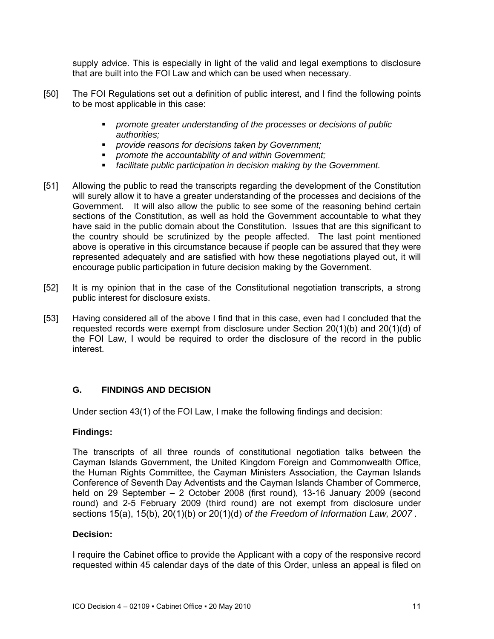supply advice. This is especially in light of the valid and legal exemptions to disclosure that are built into the FOI Law and which can be used when necessary.

- [50] The FOI Regulations set out a definition of public interest, and I find the following points to be most applicable in this case:
	- *promote greater understanding of the processes or decisions of public authorities;*
	- *provide reasons for decisions taken by Government;*
	- *promote the accountability of and within Government;*
	- *facilitate public participation in decision making by the Government.*
- [51] Allowing the public to read the transcripts regarding the development of the Constitution will surely allow it to have a greater understanding of the processes and decisions of the Government. It will also allow the public to see some of the reasoning behind certain sections of the Constitution, as well as hold the Government accountable to what they have said in the public domain about the Constitution. Issues that are this significant to the country should be scrutinized by the people affected. The last point mentioned above is operative in this circumstance because if people can be assured that they were represented adequately and are satisfied with how these negotiations played out, it will encourage public participation in future decision making by the Government.
- [52] It is my opinion that in the case of the Constitutional negotiation transcripts, a strong public interest for disclosure exists.
- [53] Having considered all of the above I find that in this case, even had I concluded that the requested records were exempt from disclosure under Section 20(1)(b) and 20(1)(d) of the FOI Law, I would be required to order the disclosure of the record in the public interest.

### **G. FINDINGS AND DECISION**

Under section 43(1) of the FOI Law, I make the following findings and decision:

### **Findings:**

The transcripts of all three rounds of constitutional negotiation talks between the Cayman Islands Government, the United Kingdom Foreign and Commonwealth Office, the Human Rights Committee, the Cayman Ministers Association, the Cayman Islands Conference of Seventh Day Adventists and the Cayman Islands Chamber of Commerce, held on 29 September – 2 October 2008 (first round), 13-16 January 2009 (second round) and 2-5 February 2009 (third round) are not exempt from disclosure under sections 15(a), 15(b), 20(1)(b) or 20(1)(d) *of the Freedom of Information Law, 2007 .* 

### **Decision:**

I require the Cabinet office to provide the Applicant with a copy of the responsive record requested within 45 calendar days of the date of this Order, unless an appeal is filed on